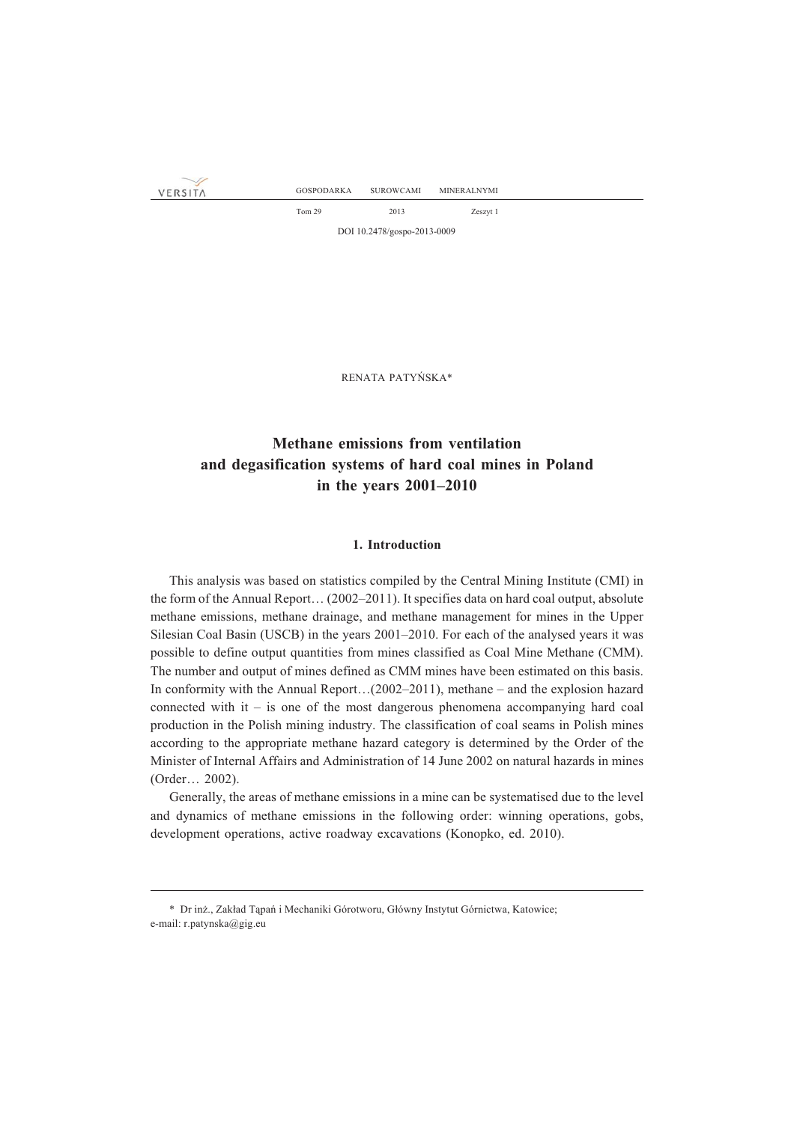VERSITA

Tom 29 2013 Zeszyt 1 DOI 10.2478/gospo-2013-0009

RENATA PATYÑSKA\*

# **Methane emissions from ventilation and degasification systems of hard coal mines in Poland in the years 2001–2010**

### **1. Introduction**

This analysis was based on statistics compiled by the Central Mining Institute (CMI) in the form of the Annual Report… (2002–2011). It specifies data on hard coal output, absolute methane emissions, methane drainage, and methane management for mines in the Upper Silesian Coal Basin (USCB) in the years 2001–2010. For each of the analysed years it was possible to define output quantities from mines classified as Coal Mine Methane (CMM). The number and output of mines defined as CMM mines have been estimated on this basis. In conformity with the Annual Report…(2002–2011), methane – and the explosion hazard connected with it – is one of the most dangerous phenomena accompanying hard coal production in the Polish mining industry. The classification of coal seams in Polish mines according to the appropriate methane hazard category is determined by the Order of the Minister of Internal Affairs and Administration of 14 June 2002 on natural hazards in mines (Order… 2002).

Generally, the areas of methane emissions in a mine can be systematised due to the level and dynamics of methane emissions in the following order: winning operations, gobs, development operations, active roadway excavations (Konopko, ed. 2010).

<sup>\*</sup> Dr inż., Zakład Tąpań i Mechaniki Górotworu, Główny Instytut Górnictwa, Katowice; e-mail: r.patynska@gig.eu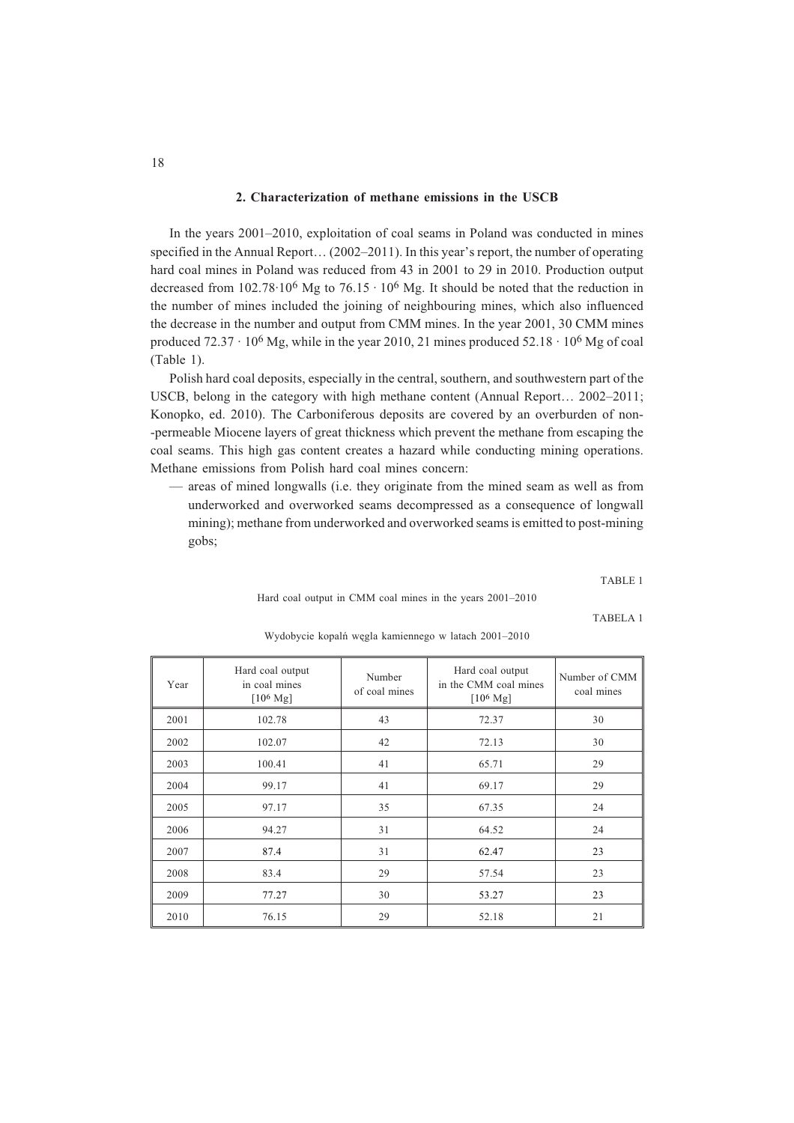### **2. Characterization of methane emissions in the USCB**

In the years 2001–2010, exploitation of coal seams in Poland was conducted in mines specified in the Annual Report… (2002–2011). In this year's report, the number of operating hard coal mines in Poland was reduced from 43 in 2001 to 29 in 2010. Production output decreased from 102.78·10<sup>6</sup> Mg to 76.15 · 10<sup>6</sup> Mg. It should be noted that the reduction in the number of mines included the joining of neighbouring mines, which also influenced the decrease in the number and output from CMM mines. In the year 2001, 30 CMM mines produced  $72.37 \cdot 10^6$  Mg, while in the year 2010, 21 mines produced  $52.18 \cdot 10^6$  Mg of coal (Table 1).

Polish hard coal deposits, especially in the central, southern, and southwestern part of the USCB, belong in the category with high methane content (Annual Report… 2002–2011; Konopko, ed. 2010). The Carboniferous deposits are covered by an overburden of non- -permeable Miocene layers of great thickness which prevent the methane from escaping the coal seams. This high gas content creates a hazard while conducting mining operations. Methane emissions from Polish hard coal mines concern:

— areas of mined longwalls (i.e. they originate from the mined seam as well as from underworked and overworked seams decompressed as a consequence of longwall mining); methane from underworked and overworked seams is emitted to post-mining gobs;

TABLE 1

Hard coal output in CMM coal mines in the years 2001–2010

TABELA 1

| Year | Hard coal output<br>in coal mines<br>$[10^6 \text{ Mg}]$ | Number<br>of coal mines | Hard coal output<br>in the CMM coal mines<br>$[10^6 \text{ Mg}]$ | Number of CMM<br>coal mines |
|------|----------------------------------------------------------|-------------------------|------------------------------------------------------------------|-----------------------------|
| 2001 | 102.78                                                   | 43                      | 72.37                                                            | 30                          |
| 2002 | 102.07                                                   | 42                      | 72.13                                                            | 30                          |
| 2003 | 41<br>100.41                                             |                         | 65.71                                                            | 29                          |
| 2004 | 99.17                                                    | 41                      | 69.17                                                            | 29                          |
| 2005 | 97.17                                                    | 35                      | 67.35                                                            | 24                          |
| 2006 | 94.27                                                    | 31                      | 64.52                                                            | 24                          |
| 2007 | 87.4                                                     | 31                      | 62.47                                                            | 23                          |
| 2008 | 83.4                                                     | 29                      | 57.54                                                            | 23                          |
| 2009 | 77.27                                                    | 30                      | 53.27                                                            | 23                          |
| 2010 | 76.15                                                    | 29                      | 52.18                                                            | 21                          |

Wydobycie kopalñ wêgla kamiennego w latach 2001–2010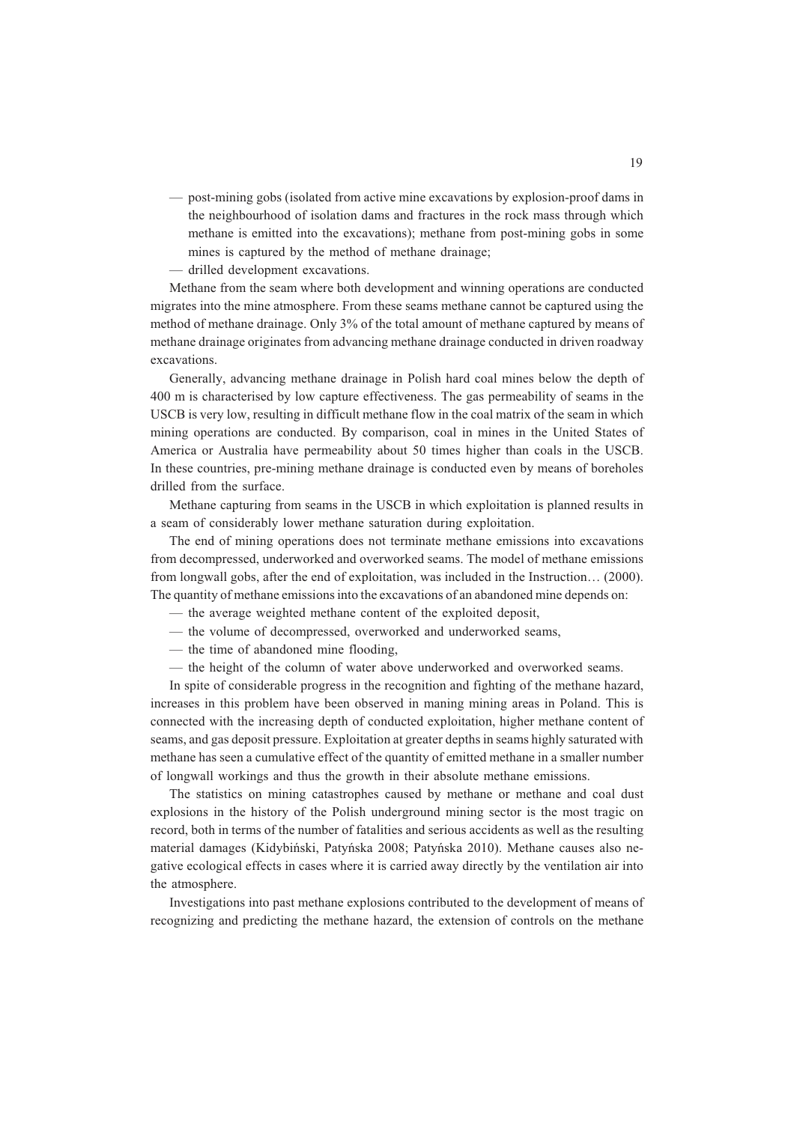- post-mining gobs (isolated from active mine excavations by explosion-proof dams in the neighbourhood of isolation dams and fractures in the rock mass through which methane is emitted into the excavations); methane from post-mining gobs in some mines is captured by the method of methane drainage;
- drilled development excavations.

Methane from the seam where both development and winning operations are conducted migrates into the mine atmosphere. From these seams methane cannot be captured using the method of methane drainage. Only 3% of the total amount of methane captured by means of methane drainage originates from advancing methane drainage conducted in driven roadway excavations.

Generally, advancing methane drainage in Polish hard coal mines below the depth of 400 m is characterised by low capture effectiveness. The gas permeability of seams in the USCB is very low, resulting in difficult methane flow in the coal matrix of the seam in which mining operations are conducted. By comparison, coal in mines in the United States of America or Australia have permeability about 50 times higher than coals in the USCB. In these countries, pre-mining methane drainage is conducted even by means of boreholes drilled from the surface.

Methane capturing from seams in the USCB in which exploitation is planned results in a seam of considerably lower methane saturation during exploitation.

The end of mining operations does not terminate methane emissions into excavations from decompressed, underworked and overworked seams. The model of methane emissions from longwall gobs, after the end of exploitation, was included in the Instruction… (2000). The quantity of methane emissions into the excavations of an abandoned mine depends on:

- the average weighted methane content of the exploited deposit,
- the volume of decompressed, overworked and underworked seams,
- the time of abandoned mine flooding,
- the height of the column of water above underworked and overworked seams.

In spite of considerable progress in the recognition and fighting of the methane hazard, increases in this problem have been observed in maning mining areas in Poland. This is connected with the increasing depth of conducted exploitation, higher methane content of seams, and gas deposit pressure. Exploitation at greater depths in seams highly saturated with methane has seen a cumulative effect of the quantity of emitted methane in a smaller number of longwall workings and thus the growth in their absolute methane emissions.

The statistics on mining catastrophes caused by methane or methane and coal dust explosions in the history of the Polish underground mining sector is the most tragic on record, both in terms of the number of fatalities and serious accidents as well as the resulting material damages (Kidybiñski, Patyñska 2008; Patyñska 2010). Methane causes also negative ecological effects in cases where it is carried away directly by the ventilation air into the atmosphere.

Investigations into past methane explosions contributed to the development of means of recognizing and predicting the methane hazard, the extension of controls on the methane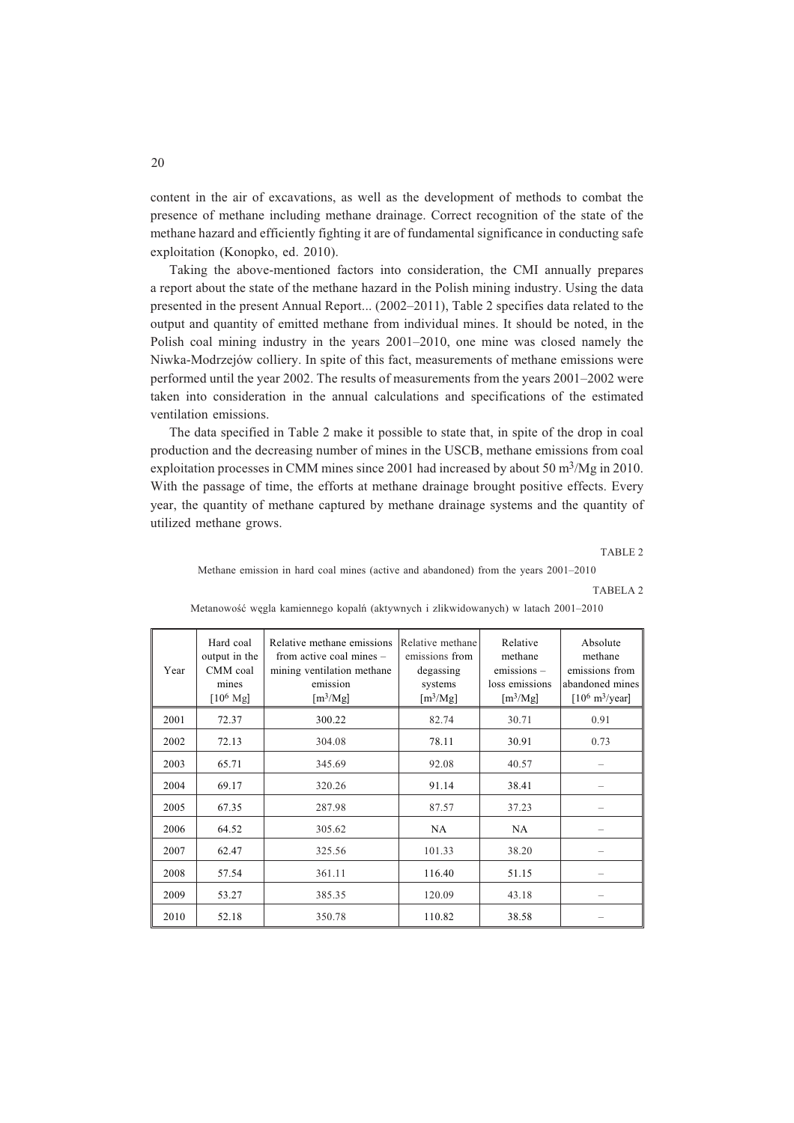content in the air of excavations, as well as the development of methods to combat the presence of methane including methane drainage. Correct recognition of the state of the methane hazard and efficiently fighting it are of fundamental significance in conducting safe exploitation (Konopko, ed. 2010).

Taking the above-mentioned factors into consideration, the CMI annually prepares a report about the state of the methane hazard in the Polish mining industry. Using the data presented in the present Annual Report... (2002–2011), Table 2 specifies data related to the output and quantity of emitted methane from individual mines. It should be noted, in the Polish coal mining industry in the years 2001–2010, one mine was closed namely the Niwka-Modrzejów colliery. In spite of this fact, measurements of methane emissions were performed until the year 2002. The results of measurements from the years 2001–2002 were taken into consideration in the annual calculations and specifications of the estimated ventilation emissions.

The data specified in Table 2 make it possible to state that, in spite of the drop in coal production and the decreasing number of mines in the USCB, methane emissions from coal exploitation processes in CMM mines since 2001 had increased by about 50 m3/Mg in 2010. With the passage of time, the efforts at methane drainage brought positive effects. Every year, the quantity of methane captured by methane drainage systems and the quantity of utilized methane grows.

TABLE 2

Methane emission in hard coal mines (active and abandoned) from the years 2001–2010

TABELA 2

| Year | Hard coal<br>output in the<br>CMM coal<br>mines<br>$[10^6 \text{ Mg}]$ | Relative methane emissions<br>from active coal mines $-$<br>mining ventilation methane<br>emission<br>$\left[\text{m}^3/\text{Mg}\right]$ | Relative methane<br>emissions from<br>degassing<br>systems<br>$\left[\text{m}^3/\text{Mg}\right]$ | Relative<br>methane<br>emissions -<br>loss emissions<br>[m <sup>3</sup> /Mg] | Absolute<br>methane<br>emissions from<br>abandoned mines<br>$[10^6 \text{ m}^3/\text{year}]$ |
|------|------------------------------------------------------------------------|-------------------------------------------------------------------------------------------------------------------------------------------|---------------------------------------------------------------------------------------------------|------------------------------------------------------------------------------|----------------------------------------------------------------------------------------------|
| 2001 | 72.37                                                                  | 300.22                                                                                                                                    | 82.74                                                                                             | 30.71                                                                        | 0.91                                                                                         |
| 2002 | 72.13                                                                  | 304.08                                                                                                                                    | 78.11                                                                                             | 30.91                                                                        | 0.73                                                                                         |
| 2003 | 65.71                                                                  | 345.69                                                                                                                                    | 92.08                                                                                             | 40.57                                                                        |                                                                                              |
| 2004 | 69.17                                                                  | 320.26                                                                                                                                    | 91.14                                                                                             | 38.41                                                                        |                                                                                              |
| 2005 | 67.35                                                                  | 287.98                                                                                                                                    | 87.57                                                                                             | 37.23                                                                        |                                                                                              |
| 2006 | 64.52                                                                  | 305.62                                                                                                                                    | NA                                                                                                | NA                                                                           |                                                                                              |
| 2007 | 62.47                                                                  | 325.56                                                                                                                                    | 101.33                                                                                            | 38.20                                                                        |                                                                                              |
| 2008 | 57.54                                                                  | 361.11                                                                                                                                    | 116.40                                                                                            | 51.15                                                                        |                                                                                              |
| 2009 | 53.27                                                                  | 385.35                                                                                                                                    | 120.09                                                                                            | 43.18                                                                        |                                                                                              |
| 2010 | 52.18                                                                  | 350.78                                                                                                                                    | 110.82                                                                                            | 38.58                                                                        |                                                                                              |

Metanowość węgla kamiennego kopalń (aktywnych i zlikwidowanych) w latach 2001–2010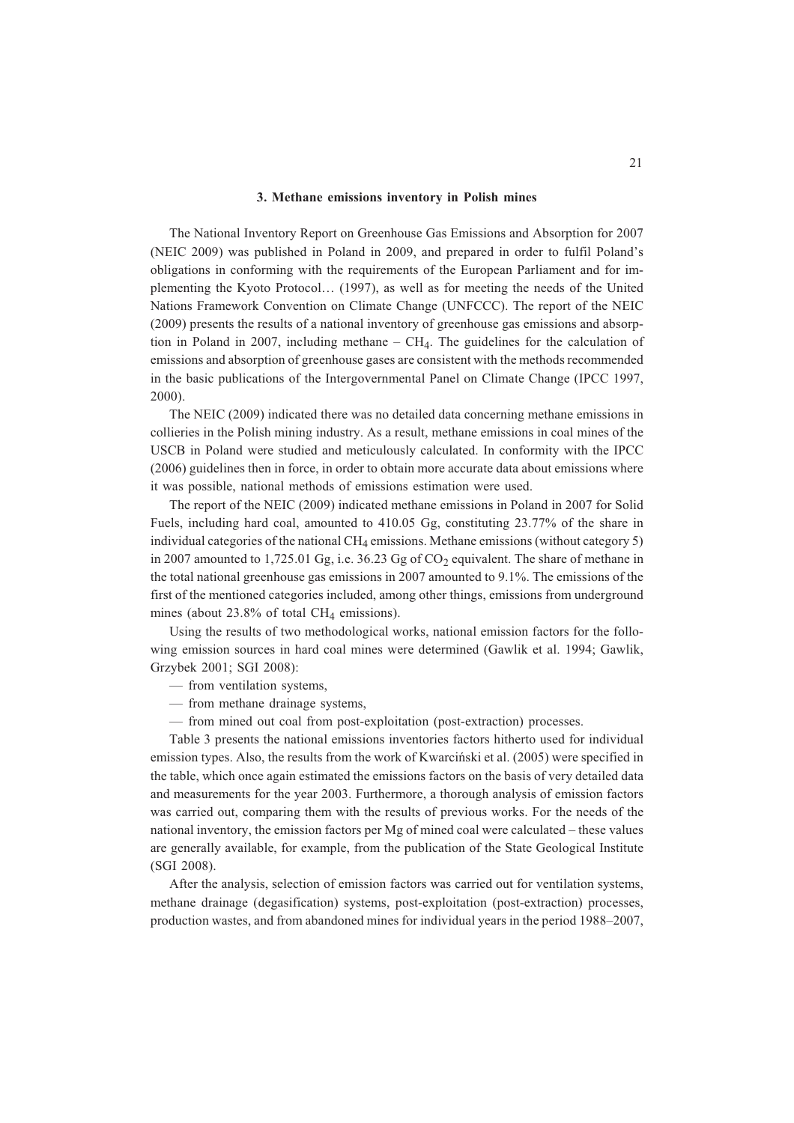### **3. Methane emissions inventory in Polish mines**

The National Inventory Report on Greenhouse Gas Emissions and Absorption for 2007 (NEIC 2009) was published in Poland in 2009, and prepared in order to fulfil Poland's obligations in conforming with the requirements of the European Parliament and for implementing the Kyoto Protocol… (1997), as well as for meeting the needs of the United Nations Framework Convention on Climate Change (UNFCCC). The report of the NEIC (2009) presents the results of a national inventory of greenhouse gas emissions and absorption in Poland in 2007, including methane  $-$  CH<sub>4</sub>. The guidelines for the calculation of emissions and absorption of greenhouse gases are consistent with the methods recommended in the basic publications of the Intergovernmental Panel on Climate Change (IPCC 1997, 2000).

The NEIC (2009) indicated there was no detailed data concerning methane emissions in collieries in the Polish mining industry. As a result, methane emissions in coal mines of the USCB in Poland were studied and meticulously calculated. In conformity with the IPCC (2006) guidelines then in force, in order to obtain more accurate data about emissions where it was possible, national methods of emissions estimation were used.

The report of the NEIC (2009) indicated methane emissions in Poland in 2007 for Solid Fuels, including hard coal, amounted to 410.05 Gg, constituting 23.77% of the share in individual categories of the national  $CH_4$  emissions. Methane emissions (without category 5) in 2007 amounted to 1,725.01 Gg, i.e.  $36.23$  Gg of  $CO<sub>2</sub>$  equivalent. The share of methane in the total national greenhouse gas emissions in 2007 amounted to 9.1%. The emissions of the first of the mentioned categories included, among other things, emissions from underground mines (about  $23.8\%$  of total CH<sub>4</sub> emissions).

Using the results of two methodological works, national emission factors for the following emission sources in hard coal mines were determined (Gawlik et al. 1994; Gawlik, Grzybek 2001; SGI 2008):

— from ventilation systems,

- from methane drainage systems,
- from mined out coal from post-exploitation (post-extraction) processes.

Table 3 presents the national emissions inventories factors hitherto used for individual emission types. Also, the results from the work of Kwarciñski et al. (2005) were specified in the table, which once again estimated the emissions factors on the basis of very detailed data and measurements for the year 2003. Furthermore, a thorough analysis of emission factors was carried out, comparing them with the results of previous works. For the needs of the national inventory, the emission factors per Mg of mined coal were calculated – these values are generally available, for example, from the publication of the State Geological Institute (SGI 2008).

After the analysis, selection of emission factors was carried out for ventilation systems, methane drainage (degasification) systems, post-exploitation (post-extraction) processes, production wastes, and from abandoned mines for individual years in the period 1988–2007,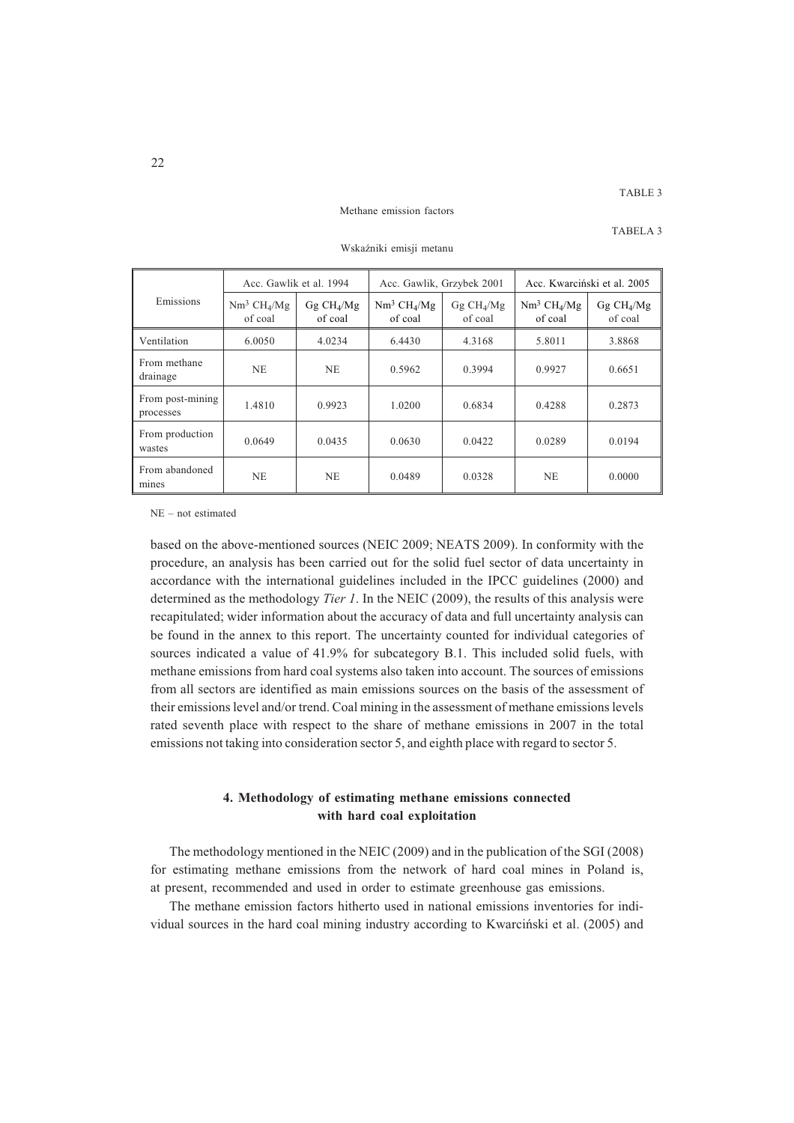## TABLE 3

### Methane emission factors

TABELA 3

|                               | Acc. Gawlik et al. 1994  |                                   | Acc. Gawlik, Grzybek 2001 |                                     | Acc. Kwarciński et al. 2005 |                                     |
|-------------------------------|--------------------------|-----------------------------------|---------------------------|-------------------------------------|-----------------------------|-------------------------------------|
| Emissions                     | $Nm^3 CH4/Mg$<br>of coal | Gg CH <sub>4</sub> /Mg<br>of coal | $Nm^3 CH4/Mg$<br>of coal  | $Gg$ CH <sub>4</sub> /Mg<br>of coal | $Nm^3 CH_4/Mg$<br>of coal   | $Gg$ CH <sub>4</sub> /Mg<br>of coal |
| Ventilation                   | 6.0050                   | 4.0234                            | 6.4430                    | 4.3168                              | 5.8011                      | 3.8868                              |
| From methane<br>drainage      | <b>NE</b>                | <b>NE</b>                         | 0.5962                    | 0.3994                              | 0.9927                      | 0.6651                              |
| From post-mining<br>processes | 1.4810                   | 0.9923                            | 1.0200                    | 0.6834                              | 0.4288                      | 0.2873                              |
| From production<br>wastes     | 0.0649                   | 0.0435                            | 0.0630                    | 0.0422                              | 0.0289                      | 0.0194                              |
| From abandoned<br>mines       | <b>NE</b>                | <b>NE</b>                         | 0.0489                    | 0.0328                              | NE                          | 0.0000                              |

Wskaźniki emisii metanu

NE – not estimated

based on the above-mentioned sources (NEIC 2009; NEATS 2009). In conformity with the procedure, an analysis has been carried out for the solid fuel sector of data uncertainty in accordance with the international guidelines included in the IPCC guidelines (2000) and determined as the methodology *Tier 1*. In the NEIC (2009), the results of this analysis were recapitulated; wider information about the accuracy of data and full uncertainty analysis can be found in the annex to this report. The uncertainty counted for individual categories of sources indicated a value of 41.9% for subcategory B.1. This included solid fuels, with methane emissions from hard coal systems also taken into account. The sources of emissions from all sectors are identified as main emissions sources on the basis of the assessment of their emissions level and/or trend. Coal mining in the assessment of methane emissions levels rated seventh place with respect to the share of methane emissions in 2007 in the total emissions not taking into consideration sector 5, and eighth place with regard to sector 5.

## **4. Methodology of estimating methane emissions connected with hard coal exploitation**

The methodology mentioned in the NEIC (2009) and in the publication of the SGI (2008) for estimating methane emissions from the network of hard coal mines in Poland is, at present, recommended and used in order to estimate greenhouse gas emissions.

The methane emission factors hitherto used in national emissions inventories for individual sources in the hard coal mining industry according to Kwarciñski et al. (2005) and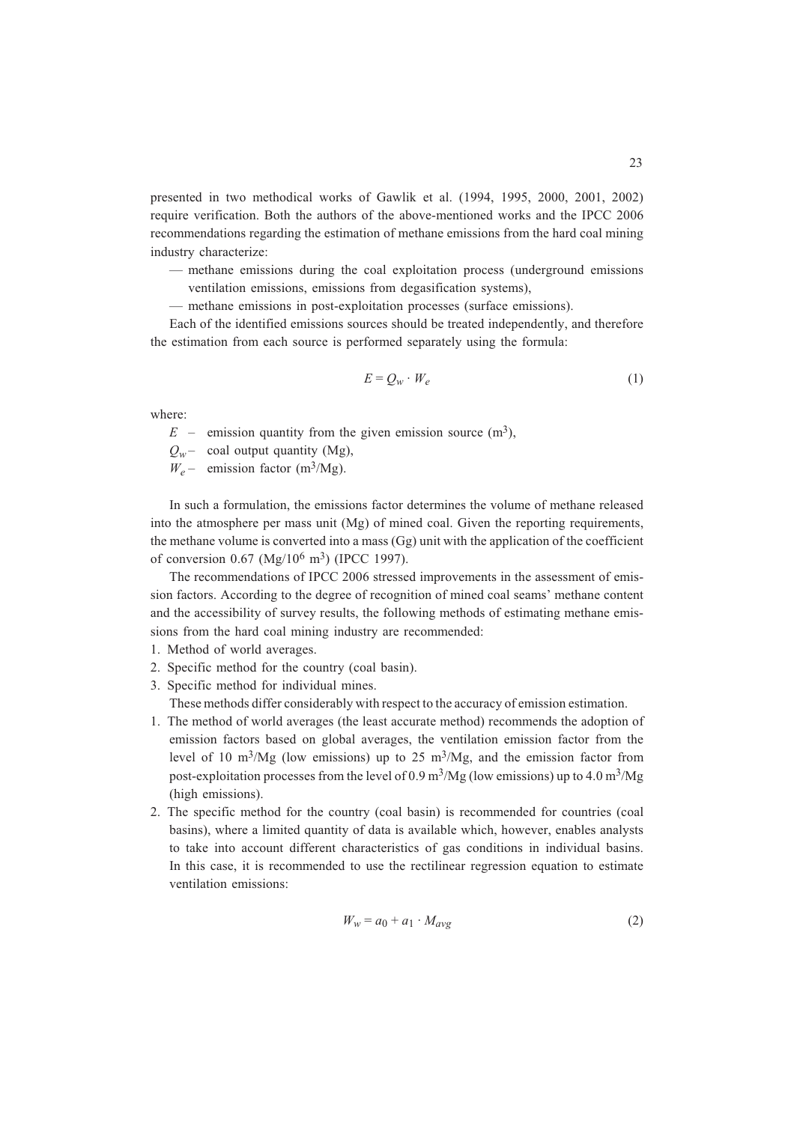presented in two methodical works of Gawlik et al. (1994, 1995, 2000, 2001, 2002) require verification. Both the authors of the above-mentioned works and the IPCC 2006 recommendations regarding the estimation of methane emissions from the hard coal mining industry characterize:

- methane emissions during the coal exploitation process (underground emissions ventilation emissions, emissions from degasification systems),
- methane emissions in post-exploitation processes (surface emissions).

Each of the identified emissions sources should be treated independently, and therefore the estimation from each source is performed separately using the formula:

$$
E = Q_w \cdot W_e \tag{1}
$$

where:

 $E$  – emission quantity from the given emission source  $(m^3)$ ,

 $Q_w$  – coal output quantity (Mg),

 $W_e$  – emission factor (m<sup>3</sup>/Mg).

In such a formulation, the emissions factor determines the volume of methane released into the atmosphere per mass unit (Mg) of mined coal. Given the reporting requirements, the methane volume is converted into a mass (Gg) unit with the application of the coefficient of conversion  $0.67 \ (Mg/10^6 \ m^3) \ (IPCC 1997)$ .

The recommendations of IPCC 2006 stressed improvements in the assessment of emission factors. According to the degree of recognition of mined coal seams' methane content and the accessibility of survey results, the following methods of estimating methane emissions from the hard coal mining industry are recommended:

- 1. Method of world averages.
- 2. Specific method for the country (coal basin).
- 3. Specific method for individual mines.

These methods differ considerably with respect to the accuracy of emission estimation.

- 1. The method of world averages (the least accurate method) recommends the adoption of emission factors based on global averages, the ventilation emission factor from the level of 10 m<sup>3</sup>/Mg (low emissions) up to 25 m<sup>3</sup>/Mg, and the emission factor from post-exploitation processes from the level of 0.9 m<sup>3</sup>/Mg (low emissions) up to 4.0 m<sup>3</sup>/Mg (high emissions).
- 2. The specific method for the country (coal basin) is recommended for countries (coal basins), where a limited quantity of data is available which, however, enables analysts to take into account different characteristics of gas conditions in individual basins. In this case, it is recommended to use the rectilinear regression equation to estimate ventilation emissions:

$$
W_w = a_0 + a_1 \cdot M_{avg} \tag{2}
$$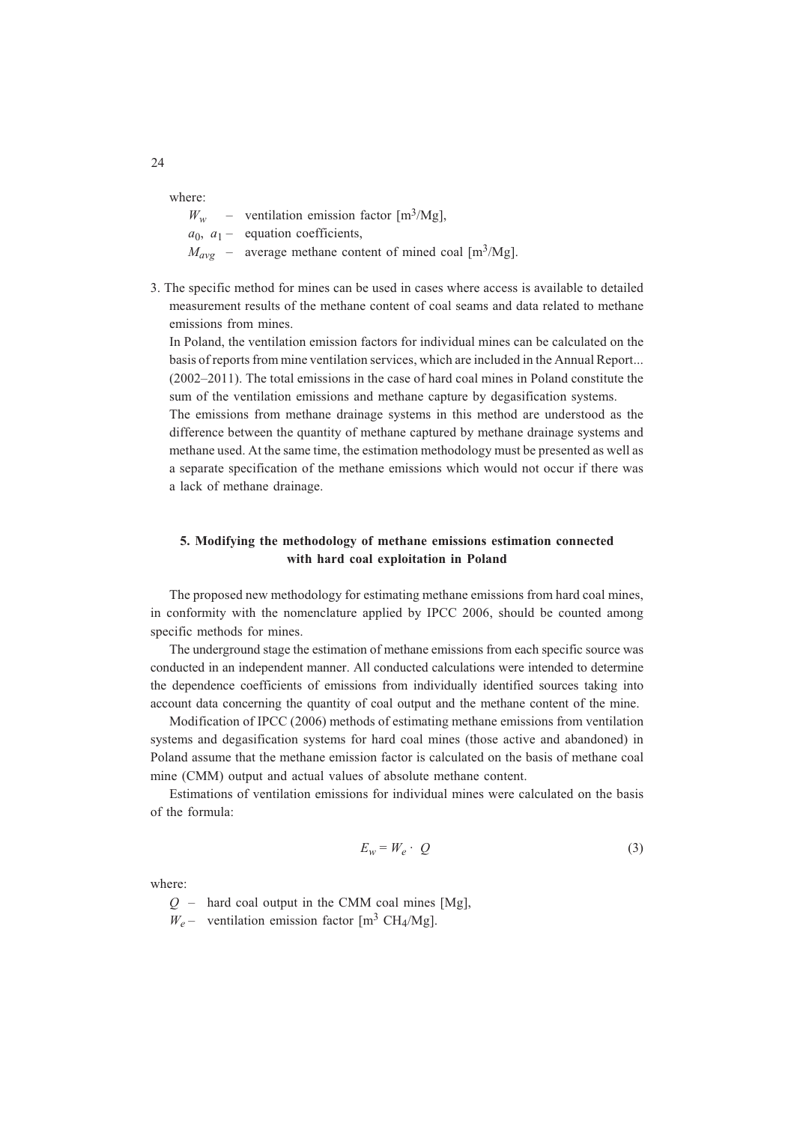where:

 $W_w$  – ventilation emission factor [m<sup>3</sup>/Mg],  $a_0$ ,  $a_1$  – equation coefficients,  $M_{avg}$  – average methane content of mined coal [m<sup>3</sup>/Mg].

3. The specific method for mines can be used in cases where access is available to detailed measurement results of the methane content of coal seams and data related to methane emissions from mines.

In Poland, the ventilation emission factors for individual mines can be calculated on the basis of reports from mine ventilation services, which are included in the Annual Report... (2002–2011). The total emissions in the case of hard coal mines in Poland constitute the sum of the ventilation emissions and methane capture by degasification systems.

The emissions from methane drainage systems in this method are understood as the difference between the quantity of methane captured by methane drainage systems and methane used. At the same time, the estimation methodology must be presented as well as a separate specification of the methane emissions which would not occur if there was a lack of methane drainage.

## **5. Modifying the methodology of methane emissions estimation connected with hard coal exploitation in Poland**

The proposed new methodology for estimating methane emissions from hard coal mines, in conformity with the nomenclature applied by IPCC 2006, should be counted among specific methods for mines.

The underground stage the estimation of methane emissions from each specific source was conducted in an independent manner. All conducted calculations were intended to determine the dependence coefficients of emissions from individually identified sources taking into account data concerning the quantity of coal output and the methane content of the mine.

Modification of IPCC (2006) methods of estimating methane emissions from ventilation systems and degasification systems for hard coal mines (those active and abandoned) in Poland assume that the methane emission factor is calculated on the basis of methane coal mine (CMM) output and actual values of absolute methane content.

Estimations of ventilation emissions for individual mines were calculated on the basis of the formula:

$$
E_w = W_e \cdot Q \tag{3}
$$

where:

 $Q$  – hard coal output in the CMM coal mines [Mg],

 $W_e$  – ventilation emission factor  $\lceil m^3 \text{ CH}_4/\text{Mg} \rceil$ .

24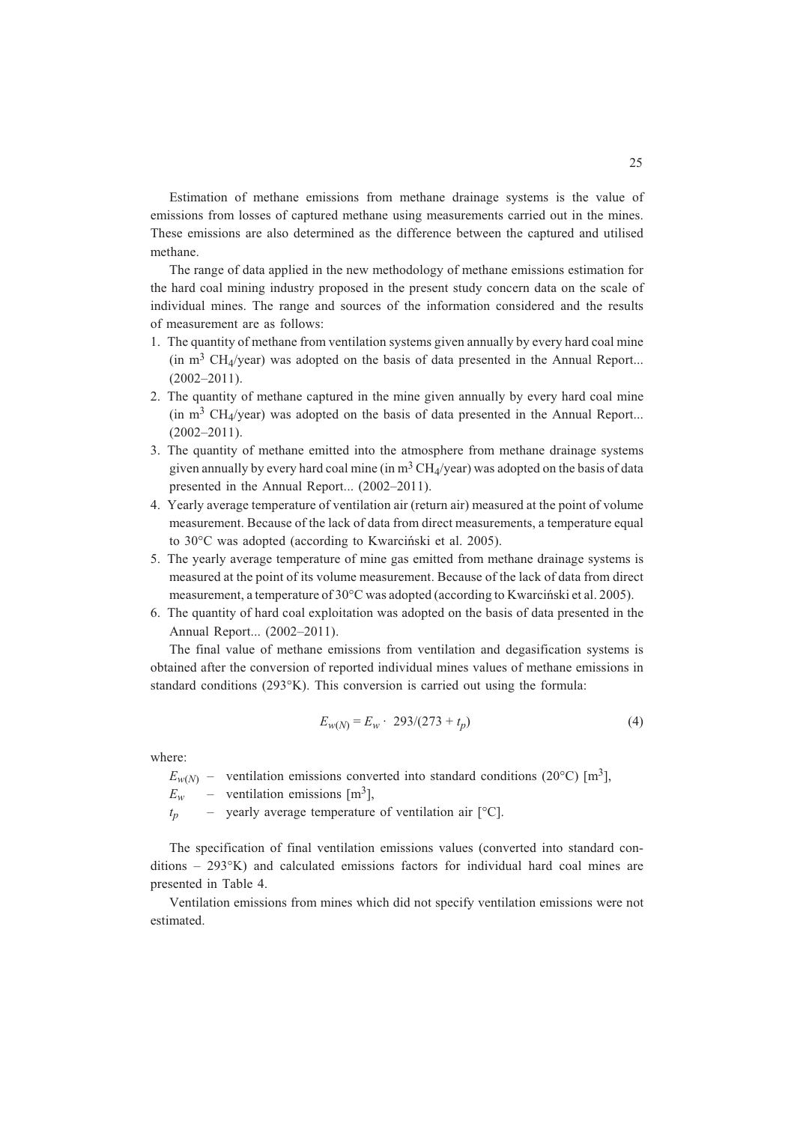Estimation of methane emissions from methane drainage systems is the value of emissions from losses of captured methane using measurements carried out in the mines. These emissions are also determined as the difference between the captured and utilised methane.

The range of data applied in the new methodology of methane emissions estimation for the hard coal mining industry proposed in the present study concern data on the scale of individual mines. The range and sources of the information considered and the results of measurement are as follows:

- 1. The quantity of methane from ventilation systems given annually by every hard coal mine (in  $m<sup>3</sup> CH<sub>4</sub>/year$ ) was adopted on the basis of data presented in the Annual Report... (2002–2011).
- 2. The quantity of methane captured in the mine given annually by every hard coal mine (in  $m<sup>3</sup> CH<sub>4</sub>/year$ ) was adopted on the basis of data presented in the Annual Report...  $(2002 - 2011)$ .
- 3. The quantity of methane emitted into the atmosphere from methane drainage systems given annually by every hard coal mine (in  $m<sup>3</sup> CH<sub>4</sub>/year$ ) was adopted on the basis of data presented in the Annual Report... (2002–2011).
- 4. Yearly average temperature of ventilation air (return air) measured at the point of volume measurement. Because of the lack of data from direct measurements, a temperature equal to 30°C was adopted (according to Kwarciñski et al. 2005).
- 5. The yearly average temperature of mine gas emitted from methane drainage systems is measured at the point of its volume measurement. Because of the lack of data from direct measurement, a temperature of 30°C was adopted (according to Kwarciñski et al. 2005).
- 6. The quantity of hard coal exploitation was adopted on the basis of data presented in the Annual Report... (2002–2011).

The final value of methane emissions from ventilation and degasification systems is obtained after the conversion of reported individual mines values of methane emissions in standard conditions (293°K). This conversion is carried out using the formula:

$$
E_{w(N)} = E_w \cdot 293/(273 + t_p)
$$
 (4)

where:

 $E_{w(N)}$  – ventilation emissions converted into standard conditions (20°C) [m<sup>3</sup>],<br> $E_w$  – ventilation emissions [m<sup>3</sup>],

 $E_w$  – ventilation emissions [m<sup>3</sup>],<br>  $t_p$  – yearly average temperature

– vearly average temperature of ventilation air  $[^{\circ}C]$ .

The specification of final ventilation emissions values (converted into standard conditions – 293°K) and calculated emissions factors for individual hard coal mines are presented in Table 4.

Ventilation emissions from mines which did not specify ventilation emissions were not estimated.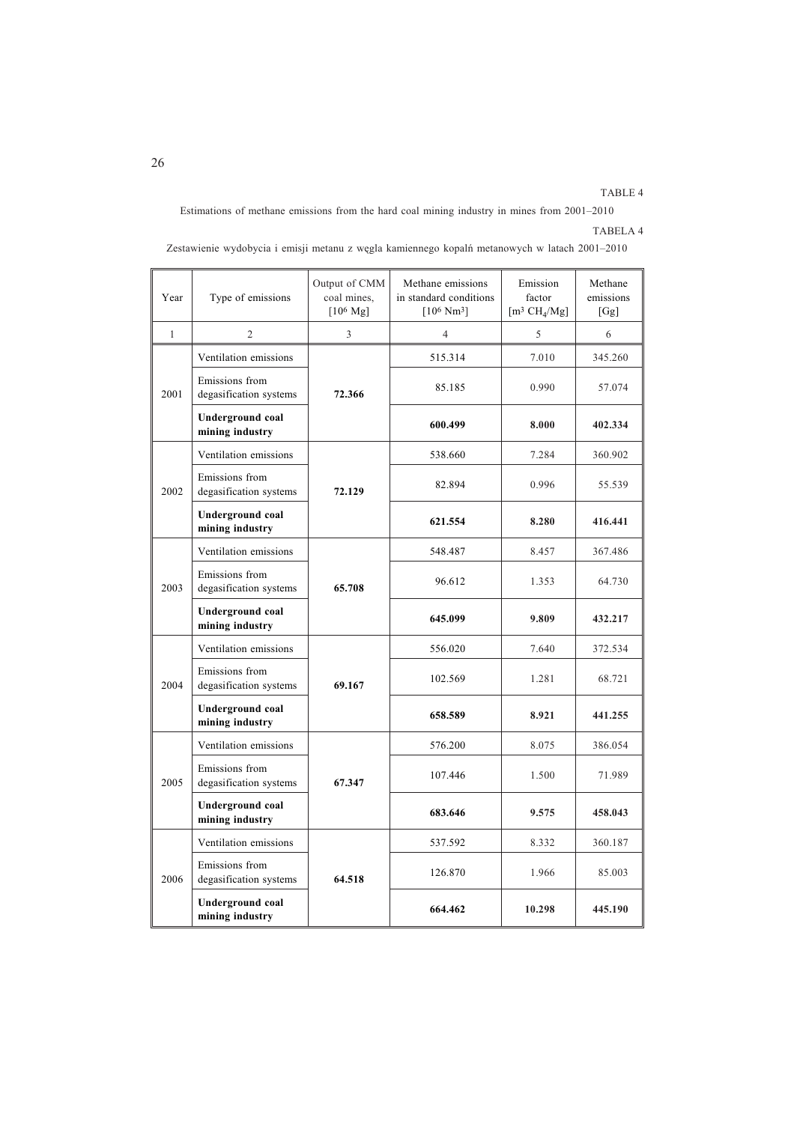## TABLE 4

Estimations of methane emissions from the hard coal mining industry in mines from 2001–2010

## TABELA 4

| Year         | Type of emissions                        | Output of CMM<br>coal mines,<br>$[10^6 \text{ Mg}]$ | Methane emissions<br>in standard conditions<br>$[10^6 \text{ Nm}^3]$ | Emission<br>factor<br>$\left[\text{m}^3 \text{ CH}_4/\text{Mg}\right]$ | Methane<br>emissions<br>[Gg] |
|--------------|------------------------------------------|-----------------------------------------------------|----------------------------------------------------------------------|------------------------------------------------------------------------|------------------------------|
| $\mathbf{1}$ | $\overline{2}$                           | 3                                                   | $\overline{4}$                                                       | 5                                                                      | 6                            |
|              | Ventilation emissions                    |                                                     | 515.314                                                              | 7.010                                                                  | 345.260                      |
| 2001         | Emissions from<br>degasification systems | 72.366                                              | 85.185                                                               | 0.990                                                                  | 57.074                       |
|              | Underground coal<br>mining industry      |                                                     | 600.499                                                              | 8.000                                                                  | 402.334                      |
|              | Ventilation emissions                    |                                                     | 538.660                                                              | 7.284                                                                  | 360.902                      |
| 2002         | Emissions from<br>degasification systems | 72.129                                              | 82.894                                                               | 0.996                                                                  | 55.539                       |
|              | Underground coal<br>mining industry      |                                                     | 621.554                                                              | 8.280                                                                  | 416.441                      |
|              | Ventilation emissions                    |                                                     | 548.487                                                              | 8.457                                                                  | 367.486                      |
| 2003         | Emissions from<br>degasification systems | 65.708                                              | 96.612                                                               | 1.353                                                                  | 64.730                       |
|              | Underground coal<br>mining industry      |                                                     | 645.099                                                              | 9.809                                                                  | 432.217                      |
| 2004         | Ventilation emissions                    |                                                     | 556.020                                                              | 7.640                                                                  | 372.534                      |
|              | Emissions from<br>degasification systems | 69.167                                              | 102.569                                                              | 1.281                                                                  | 68.721                       |
|              | Underground coal<br>mining industry      |                                                     | 658.589                                                              | 8.921                                                                  | 441.255                      |
|              | Ventilation emissions                    |                                                     | 576.200                                                              | 8.075                                                                  | 386.054                      |
| 2005         | Emissions from<br>degasification systems | 67.347                                              | 107.446                                                              | 1.500                                                                  | 71.989                       |
|              | Underground coal<br>mining industry      |                                                     | 683.646                                                              | 9.575                                                                  | 458.043                      |
| 2006         | Ventilation emissions                    |                                                     | 537.592                                                              | 8.332                                                                  | 360.187                      |
|              | Emissions from<br>degasification systems | 64.518                                              | 126.870                                                              | 1.966                                                                  | 85.003                       |
|              | Underground coal<br>mining industry      |                                                     | 664.462                                                              | 10.298                                                                 | 445.190                      |

Zestawienie wydobycia i emisji metanu z wêgla kamiennego kopalñ metanowych w latach 2001–2010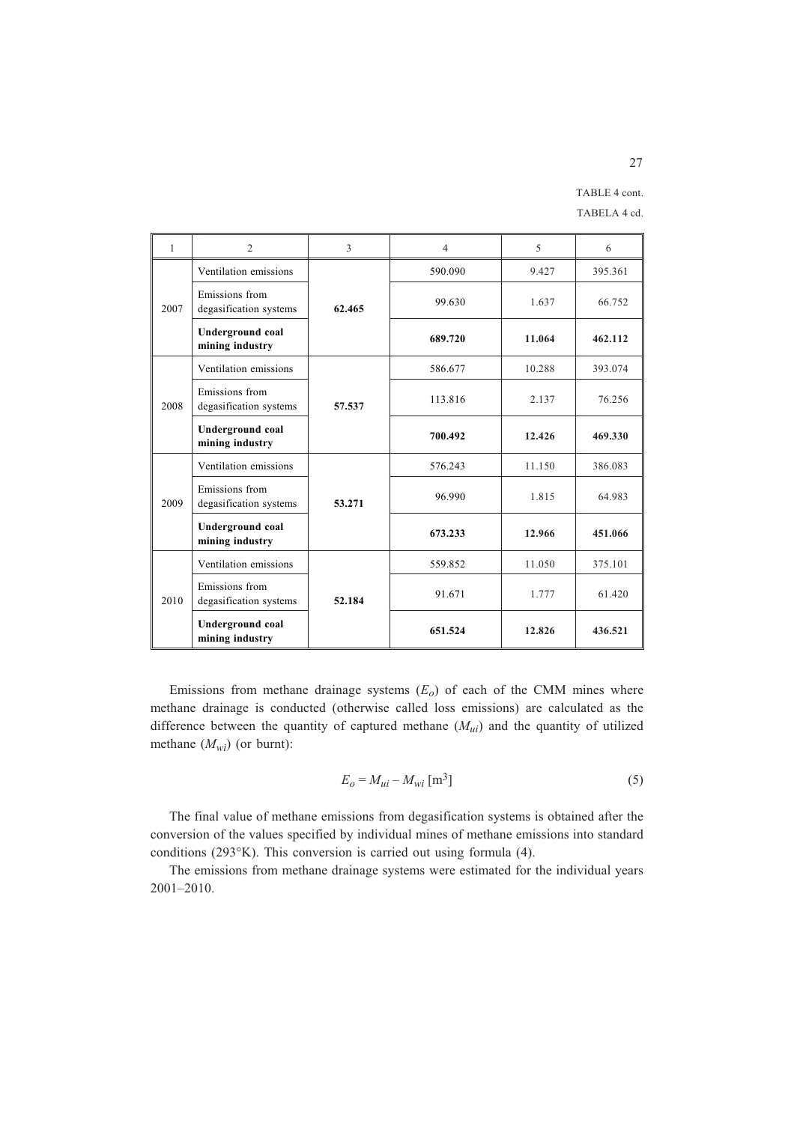TABLE 4 cont. TABELA 4 cd.

| 1    | $\overline{2}$                             | 3      | $\overline{4}$ | 5      | 6       |
|------|--------------------------------------------|--------|----------------|--------|---------|
| 2007 | Ventilation emissions                      | 62.465 | 590.090        | 9.427  | 395.361 |
|      | Emissions from<br>degasification systems   |        | 99.630         | 1.637  | 66.752  |
|      | <b>Underground coal</b><br>mining industry |        | 689.720        | 11.064 | 462.112 |
|      | Ventilation emissions                      | 57.537 | 586.677        | 10.288 | 393.074 |
| 2008 | Emissions from<br>degasification systems   |        | 113.816        | 2.137  | 76.256  |
|      | Underground coal<br>mining industry        |        | 700.492        | 12.426 | 469.330 |
| 2009 | Ventilation emissions                      | 53.271 | 576.243        | 11.150 | 386.083 |
|      | Emissions from<br>degasification systems   |        | 96.990         | 1.815  | 64.983  |
|      | Underground coal<br>mining industry        |        | 673.233        | 12.966 | 451.066 |
|      | Ventilation emissions                      | 52.184 | 559.852        | 11.050 | 375.101 |
| 2010 | Emissions from<br>degasification systems   |        | 91.671         | 1.777  | 61.420  |
|      | Underground coal<br>mining industry        |        | 651.524        | 12.826 | 436.521 |

Emissions from methane drainage systems  $(E<sub>o</sub>)$  of each of the CMM mines where methane drainage is conducted (otherwise called loss emissions) are calculated as the difference between the quantity of captured methane  $(M_{ui})$  and the quantity of utilized methane (*Mwi*) (or burnt):

$$
E_o = M_{ui} - M_{wi} \,\mathrm{[m^3]}
$$

The final value of methane emissions from degasification systems is obtained after the conversion of the values specified by individual mines of methane emissions into standard conditions (293°K). This conversion is carried out using formula (4).

The emissions from methane drainage systems were estimated for the individual years 2001–2010.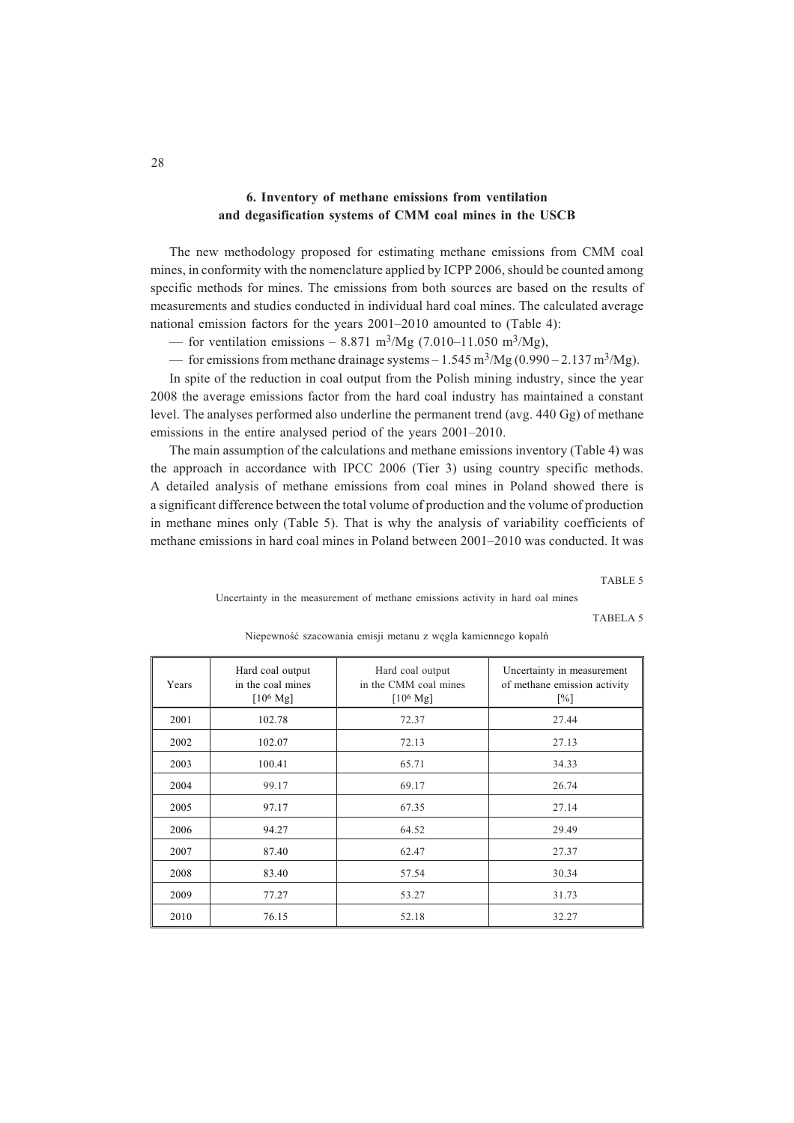## **6. Inventory of methane emissions from ventilation and degasification systems of CMM coal mines in the USCB**

The new methodology proposed for estimating methane emissions from CMM coal mines, in conformity with the nomenclature applied by ICPP 2006, should be counted among specific methods for mines. The emissions from both sources are based on the results of measurements and studies conducted in individual hard coal mines. The calculated average national emission factors for the years 2001–2010 amounted to (Table 4):

— for ventilation emissions – 8.871 m<sup>3</sup>/Mg (7.010–11.050 m<sup>3</sup>/Mg),

— for emissions from methane drainage systems  $-1.545 \text{ m}^3/\text{Mg}$  (0.990 – 2.137 m<sup>3</sup>/Mg).

In spite of the reduction in coal output from the Polish mining industry, since the year 2008 the average emissions factor from the hard coal industry has maintained a constant level. The analyses performed also underline the permanent trend (avg. 440 Gg) of methane emissions in the entire analysed period of the years 2001–2010.

The main assumption of the calculations and methane emissions inventory (Table 4) was the approach in accordance with IPCC 2006 (Tier 3) using country specific methods. A detailed analysis of methane emissions from coal mines in Poland showed there is a significant difference between the total volume of production and the volume of production in methane mines only (Table 5). That is why the analysis of variability coefficients of methane emissions in hard coal mines in Poland between 2001–2010 was conducted. It was

TABLE 5

Uncertainty in the measurement of methane emissions activity in hard oal mines

TABELA 5

| Years | Hard coal output<br>Hard coal output<br>in the coal mines<br>in the CMM coal mines<br>$[10^6 \text{ Mg}]$<br>$[10^6 \text{ Mg}]$ |       | Uncertainty in measurement<br>of methane emission activity<br>$\lceil\% \rceil$ |  |
|-------|----------------------------------------------------------------------------------------------------------------------------------|-------|---------------------------------------------------------------------------------|--|
| 2001  | 102.78                                                                                                                           | 72.37 | 27.44                                                                           |  |
| 2002  | 102.07                                                                                                                           | 72.13 | 27.13                                                                           |  |
| 2003  | 100.41                                                                                                                           | 65.71 | 34.33                                                                           |  |
| 2004  | 99.17                                                                                                                            | 69.17 | 26.74                                                                           |  |
| 2005  | 97.17                                                                                                                            | 67.35 | 27.14                                                                           |  |
| 2006  | 94.27                                                                                                                            | 64.52 | 29.49                                                                           |  |
| 2007  | 87.40                                                                                                                            | 62.47 | 27.37                                                                           |  |
| 2008  | 83.40                                                                                                                            | 57.54 | 30.34                                                                           |  |
| 2009  | 77.27                                                                                                                            | 53.27 | 31.73                                                                           |  |
| 2010  | 76.15                                                                                                                            | 52.18 | 32.27                                                                           |  |

Niepewność szacowania emisji metanu z węgla kamiennego kopalń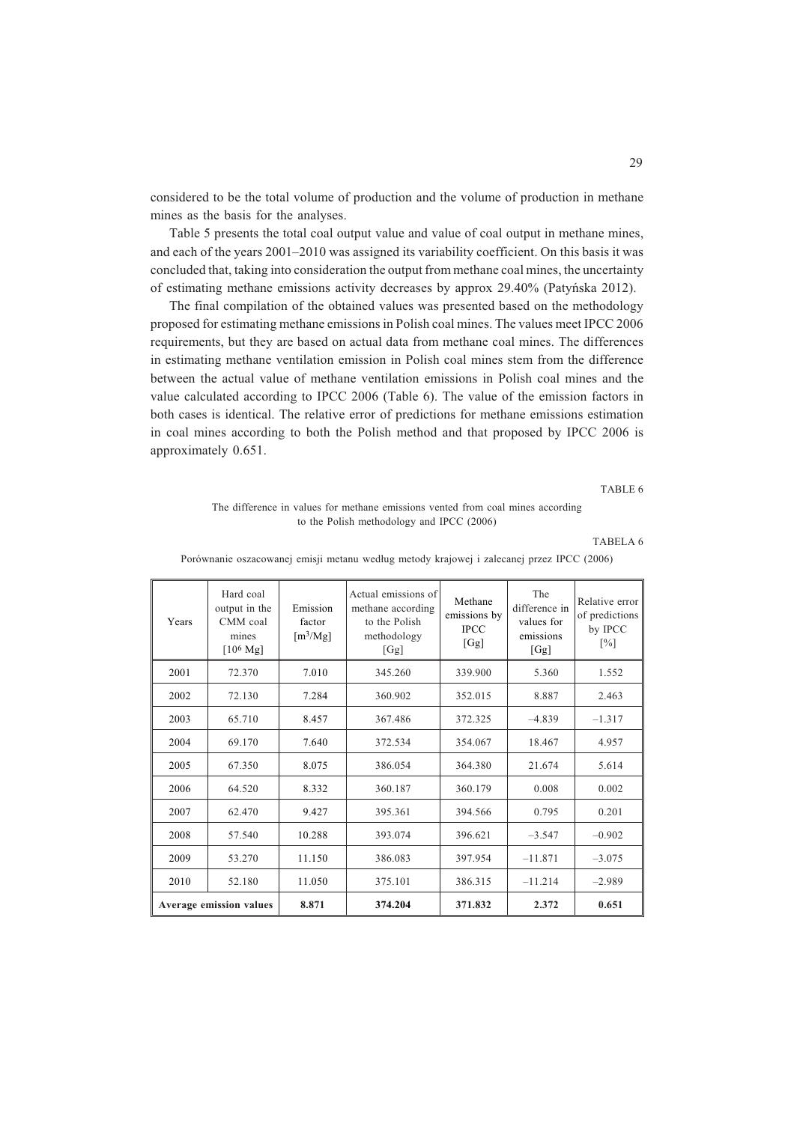considered to be the total volume of production and the volume of production in methane mines as the basis for the analyses.

Table 5 presents the total coal output value and value of coal output in methane mines, and each of the years 2001–2010 was assigned its variability coefficient. On this basis it was concluded that, taking into consideration the output from methane coal mines, the uncertainty of estimating methane emissions activity decreases by approx 29.40% (Patyñska 2012).

The final compilation of the obtained values was presented based on the methodology proposed for estimating methane emissions in Polish coal mines. The values meet IPCC 2006 requirements, but they are based on actual data from methane coal mines. The differences in estimating methane ventilation emission in Polish coal mines stem from the difference between the actual value of methane ventilation emissions in Polish coal mines and the value calculated according to IPCC 2006 (Table 6). The value of the emission factors in both cases is identical. The relative error of predictions for methane emissions estimation in coal mines according to both the Polish method and that proposed by IPCC 2006 is approximately 0.651.

TABLE 6

### The difference in values for methane emissions vented from coal mines according to the Polish methodology and IPCC (2006)

TABELA 6

| Years                          | Hard coal<br>output in the<br>CMM coal<br>mines<br>$[10^6 \text{ Mg}]$ | Emission<br>factor<br>$\left[\frac{m^3}{Mg}\right]$ | Actual emissions of<br>methane according<br>to the Polish<br>methodology<br>[Gg] | Methane<br>emissions by<br><b>IPCC</b><br>[Gg] | The<br>difference in<br>values for<br>emissions<br>[Gg] | Relative error<br>of predictions<br>by IPCC<br>$[\%]$ |
|--------------------------------|------------------------------------------------------------------------|-----------------------------------------------------|----------------------------------------------------------------------------------|------------------------------------------------|---------------------------------------------------------|-------------------------------------------------------|
| 2001                           | 72.370                                                                 | 7.010                                               | 345.260                                                                          | 339.900                                        | 5.360                                                   | 1.552                                                 |
| 2002                           | 72.130                                                                 | 7.284                                               | 360.902                                                                          | 352.015                                        | 8.887                                                   | 2.463                                                 |
| 2003                           | 65.710                                                                 | 8.457                                               | 367.486                                                                          | 372.325                                        | $-4.839$                                                | $-1.317$                                              |
| 2004                           | 69.170                                                                 | 7.640                                               | 372.534                                                                          | 354.067                                        | 18.467                                                  | 4.957                                                 |
| 2005                           | 67.350                                                                 | 8.075                                               | 386.054                                                                          | 364.380                                        | 21.674                                                  | 5.614                                                 |
| 2006                           | 64.520                                                                 | 8.332                                               | 360.187                                                                          | 360.179                                        | 0.008                                                   | 0.002                                                 |
| 2007                           | 62.470                                                                 | 9.427                                               | 395.361                                                                          | 394.566                                        | 0.795                                                   | 0.201                                                 |
| 2008                           | 57.540                                                                 | 10.288                                              | 393.074                                                                          | 396.621                                        | $-3.547$                                                | $-0.902$                                              |
| 2009                           | 53.270                                                                 | 11.150                                              | 386.083                                                                          | 397.954                                        | $-11.871$                                               | $-3.075$                                              |
| 2010                           | 52.180                                                                 | 11.050                                              | 375.101                                                                          | 386.315                                        | $-11.214$                                               | $-2.989$                                              |
| <b>Average emission values</b> |                                                                        | 8.871                                               | 374.204                                                                          | 371.832                                        | 2.372                                                   | 0.651                                                 |

Porównanie oszacowanej emisji metanu według metody krajowej i zalecanej przez IPCC (2006)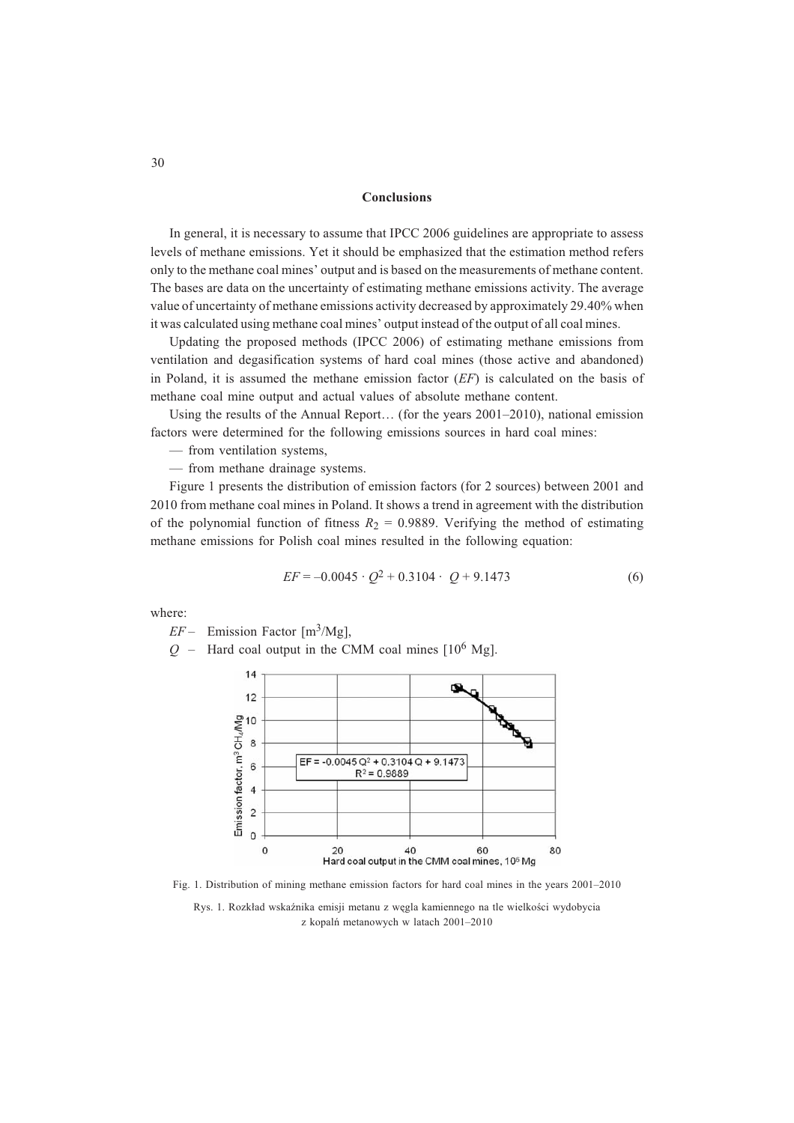#### **Conclusions**

In general, it is necessary to assume that IPCC 2006 guidelines are appropriate to assess levels of methane emissions. Yet it should be emphasized that the estimation method refers only to the methane coal mines' output and is based on the measurements of methane content. The bases are data on the uncertainty of estimating methane emissions activity. The average value of uncertainty of methane emissions activity decreased by approximately 29.40% when it was calculated using methane coal mines' output instead of the output of all coal mines.

Updating the proposed methods (IPCC 2006) of estimating methane emissions from ventilation and degasification systems of hard coal mines (those active and abandoned) in Poland, it is assumed the methane emission factor (*EF*) is calculated on the basis of methane coal mine output and actual values of absolute methane content.

Using the results of the Annual Report… (for the years 2001–2010), national emission factors were determined for the following emissions sources in hard coal mines:

— from ventilation systems,

— from methane drainage systems.

Figure 1 presents the distribution of emission factors (for 2 sources) between 2001 and 2010 from methane coal mines in Poland. It shows a trend in agreement with the distribution of the polynomial function of fitness  $R_2 = 0.9889$ . Verifying the method of estimating methane emissions for Polish coal mines resulted in the following equation:

$$
EF = -0.0045 \cdot Q^2 + 0.3104 \cdot Q + 9.1473 \tag{6}
$$

where:

 $EF$  – Emission Factor [m<sup>3</sup>/Mg],<br> $Q$  – Hard coal output in the C.

Hard coal output in the CMM coal mines  $[10^6 \text{ Mg}]$ .



Fig. 1. Distribution of mining methane emission factors for hard coal mines in the years 2001–2010

Rys. 1. Rozkład wskaźnika emisji metanu z węgla kamiennego na tle wielkości wydobycia z kopalñ metanowych w latach 2001–2010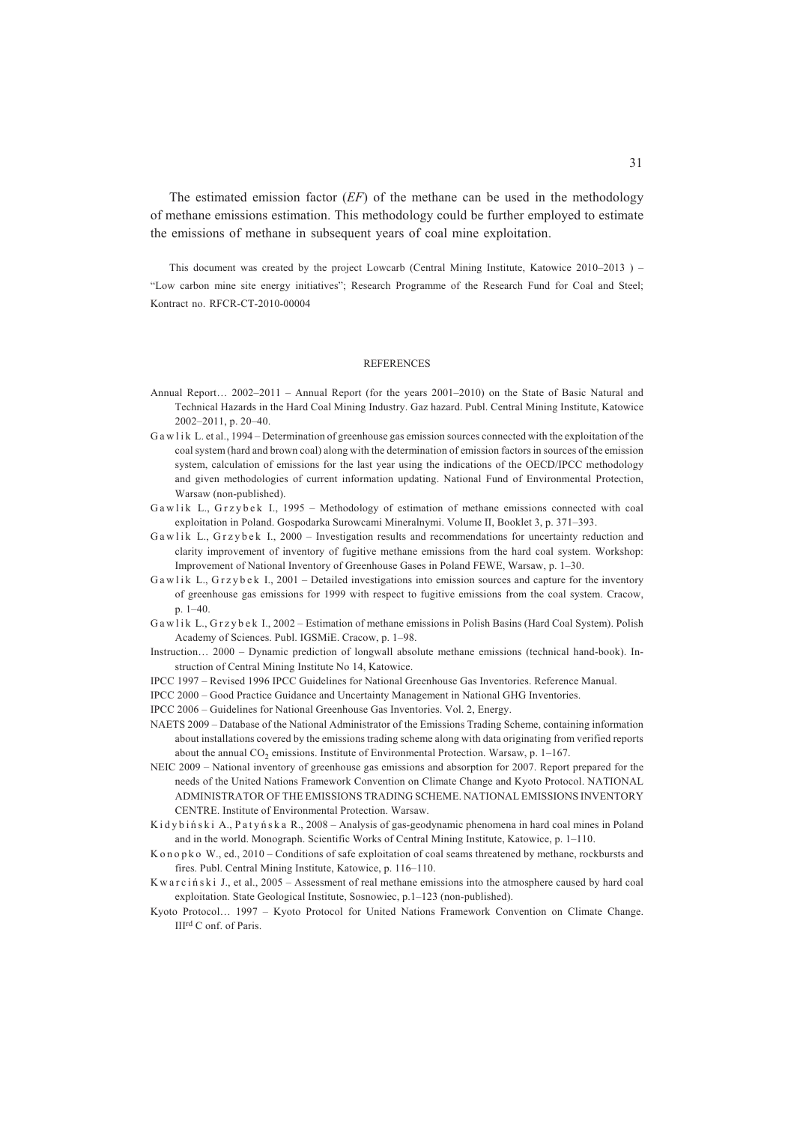The estimated emission factor (*EF*) of the methane can be used in the methodology of methane emissions estimation. This methodology could be further employed to estimate the emissions of methane in subsequent years of coal mine exploitation.

This document was created by the project Lowcarb (Central Mining Institute, Katowice 2010–2013 ) – "Low carbon mine site energy initiatives"; Research Programme of the Research Fund for Coal and Steel; Kontract no. RFCR-CT-2010-00004

#### **REFERENCES**

- Annual Report… 2002–2011 Annual Report (for the years 2001–2010) on the State of Basic Natural and Technical Hazards in the Hard Coal Mining Industry. Gaz hazard. Publ. Central Mining Institute, Katowice 2002–2011, p. 20–40.
- G a w lik L. et al., 1994 Determination of greenhouse gas emission sources connected with the exploitation of the coal system (hard and brown coal) along with the determination of emission factors in sources of the emission system, calculation of emissions for the last year using the indications of the OECD/IPCC methodology and given methodologies of current information updating. National Fund of Environmental Protection, Warsaw (non-published).
- Gawlik L., Grzybek I., 1995 Methodology of estimation of methane emissions connected with coal exploitation in Poland. Gospodarka Surowcami Mineralnymi. Volume II, Booklet 3, p. 371–393.
- Gawlik L., Grzybek I., 2000 Investigation results and recommendations for uncertainty reduction and clarity improvement of inventory of fugitive methane emissions from the hard coal system. Workshop: Improvement of National Inventory of Greenhouse Gases in Poland FEWE, Warsaw, p. 1–30.
- G a w l i k L., G r z y b e k I., 2001 Detailed investigations into emission sources and capture for the inventory of greenhouse gas emissions for 1999 with respect to fugitive emissions from the coal system. Cracow, p. 1–40.
- G a w l i k L., G r z y b e k I., 2002 Estimation of methane emissions in Polish Basins (Hard Coal System). Polish Academy of Sciences. Publ. IGSMiE. Cracow, p. 1–98.
- Instruction… 2000 Dynamic prediction of longwall absolute methane emissions (technical hand-book). Instruction of Central Mining Institute No 14, Katowice.
- IPCC 1997 Revised 1996 IPCC Guidelines for National Greenhouse Gas Inventories. Reference Manual.
- IPCC 2000 Good Practice Guidance and Uncertainty Management in National GHG Inventories.
- IPCC 2006 Guidelines for National Greenhouse Gas Inventories. Vol. 2, Energy.
- NAETS 2009 Database of the National Administrator of the Emissions Trading Scheme, containing information about installations covered by the emissions trading scheme along with data originating from verified reports about the annual  $CO<sub>2</sub>$  emissions. Institute of Environmental Protection. Warsaw, p. 1–167.
- NEIC 2009 National inventory of greenhouse gas emissions and absorption for 2007. Report prepared for the needs of the United Nations Framework Convention on Climate Change and Kyoto Protocol. NATIONAL ADMINISTRATOR OF THE EMISSIONS TRADING SCHEME. NATIONAL EMISSIONS INVENTORY CENTRE. Institute of Environmental Protection. Warsaw.
- K i d y b i ń s k i A., P a t y ń s k a R., 2008 Analysis of gas-geodynamic phenomena in hard coal mines in Poland and in the world. Monograph. Scientific Works of Central Mining Institute, Katowice, p. 1–110.
- K on op k o W., ed., 2010 Conditions of safe exploitation of coal seams threatened by methane, rockbursts and fires. Publ. Central Mining Institute, Katowice, p. 116–110.
- K w a r c i ń s k i J., et al., 2005 Assessment of real methane emissions into the atmosphere caused by hard coal exploitation. State Geological Institute, Sosnowiec, p.1–123 (non-published).
- Kyoto Protocol… 1997 Kyoto Protocol for United Nations Framework Convention on Climate Change. IIIrd C onf. of Paris.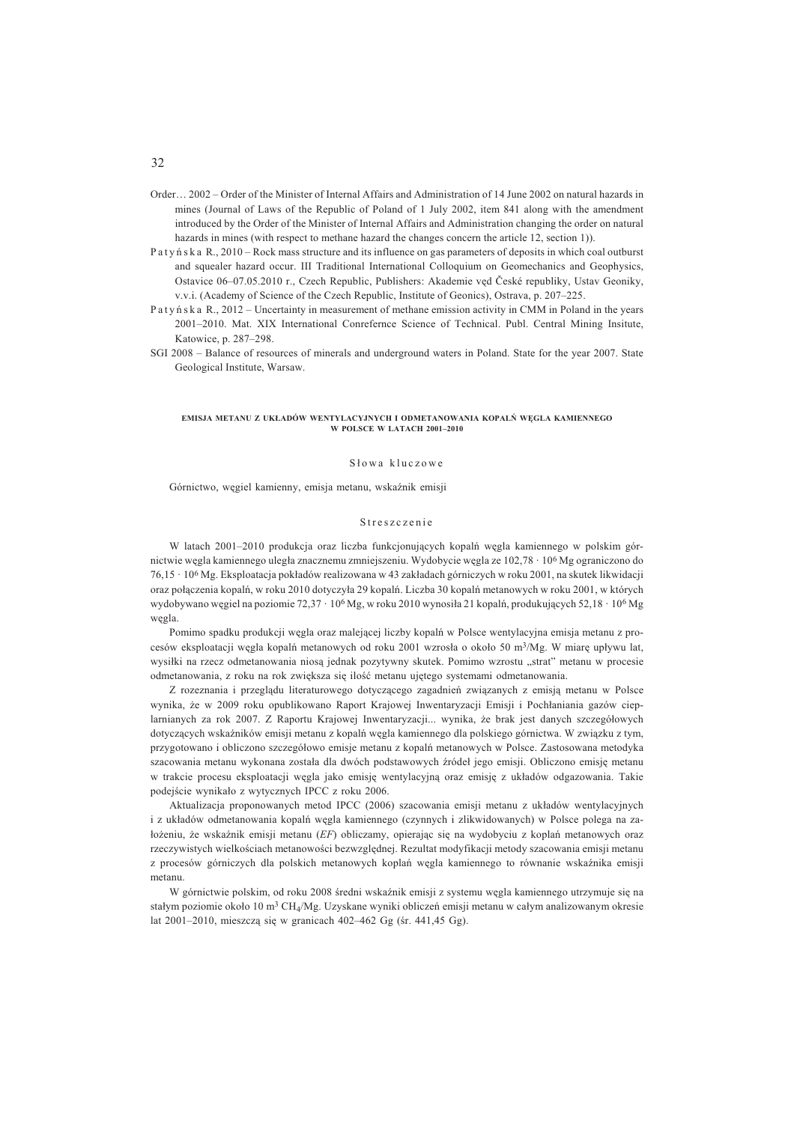- Order… 2002 Order of the Minister of Internal Affairs and Administration of 14 June 2002 on natural hazards in mines (Journal of Laws of the Republic of Poland of 1 July 2002, item 841 along with the amendment introduced by the Order of the Minister of Internal Affairs and Administration changing the order on natural hazards in mines (with respect to methane hazard the changes concern the article 12, section 1)).
- P a t y ñ s k a R., 2010 Rock mass structure and its influence on gas parameters of deposits in which coal outburst and squealer hazard occur. III Traditional International Colloquium on Geomechanics and Geophysics, Ostavice 06–07.05.2010 r., Czech Republic, Publishers: Akademie vęd České republiky, Ustav Geoniky, v.v.i. (Academy of Science of the Czech Republic, Institute of Geonics), Ostrava, p. 207–225.
- P a t y ñ s k a R., 2012 Uncertainty in measurement of methane emission activity in CMM in Poland in the years 2001–2010. Mat. XIX International Conrefernce Science of Technical. Publ. Central Mining Insitute, Katowice, p. 287–298.
- SGI 2008 Balance of resources of minerals and underground waters in Poland. State for the year 2007. State Geological Institute, Warsaw.

#### **EMISJA METANU Z UK£ADÓW WENTYLACYJNYCH I ODMETANOWANIA KOPALÑ WÊGLA KAMIENNEGO W POLSCE W LATACH 2001–2010**

#### S³owa kluczowe

Górnictwo, wegiel kamienny, emisia metanu, wskaźnik emisii

#### Streszczenie

W latach 2001–2010 produkcja oraz liczba funkcjonujących kopalń węgla kamiennego w polskim górnictwie węgla kamiennego uległa znacznemu zmniejszeniu. Wydobycie węgla ze 102,78 · 10<sup>6</sup> Mg ograniczono do 76,15 · 106 Mg. Eksploatacja pok³adów realizowana w 43 zak³adach górniczych w roku 2001, na skutek likwidacji oraz połączenia kopalń, w roku 2010 dotyczyła 29 kopalń. Liczba 30 kopalń metanowych w roku 2001, w których wydobywano węgiel na poziomie 72,37 · 10<sup>6</sup> Mg, w roku 2010 wynosiła 21 kopalń, produkujących 52,18 · 10<sup>6</sup> Mg wêgla.

Pomimo spadku produkcji węgla oraz malejącej liczby kopalń w Polsce wentylacyjna emisja metanu z procesów eksploatacji węgla kopalń metanowych od roku 2001 wzrosła o około 50 m<sup>3</sup>/Mg. W miarę upływu lat, wysiłki na rzecz odmetanowania niosą jednak pozytywny skutek. Pomimo wzrostu "strat" metanu w procesie odmetanowania, z roku na rok zwiększa się ilość metanu ujętego systemami odmetanowania.

Z rozeznania i przeglądu literaturowego dotyczącego zagadnień związanych z emisją metanu w Polsce wynika, że w 2009 roku opublikowano Raport Krajowej Inwentaryzacji Emisji i Pochłaniania gazów cieplarnianych za rok 2007. Z Raportu Krajowej Inwentaryzacji... wynika, że brak jest danych szczegółowych dotyczących wskaźników emisji metanu z kopalń węgla kamiennego dla polskiego górnictwa. W związku z tym, przygotowano i obliczono szczegółowo emisje metanu z kopalń metanowych w Polsce. Zastosowana metodyka szacowania metanu wykonana została dla dwóch podstawowych źródeł jego emisji. Obliczono emisję metanu w trakcie procesu eksploatacji węgla jako emisję wentylacyjną oraz emisję z układów odgazowania. Takie podejście wynikało z wytycznych IPCC z roku 2006.

Aktualizacja proponowanych metod IPCC (2006) szacowania emisji metanu z układów wentylacyjnych i z uk³adów odmetanowania kopalñ wêgla kamiennego (czynnych i zlikwidowanych) w Polsce polega na za łożeniu, że wskaźnik emisji metanu (*EF*) obliczamy, opierając się na wydobyciu z koplań metanowych oraz rzeczywistych wielkościach metanowości bezwzględnej. Rezultat modyfikacji metody szacowania emisji metanu z procesów górniczych dla polskich metanowych koplań węgla kamiennego to równanie wskaźnika emisji metanu.

W górnictwie polskim, od roku 2008 średni wskaźnik emisji z systemu wegla kamiennego utrzymuje się na stałym poziomie około 10 m<sup>3</sup> CH<sub>4</sub>/Mg. Uzyskane wyniki obliczeń emisji metanu w całym analizowanym okresie lat 2001–2010, mieszczą się w granicach 402–462 Gg (śr. 441,45 Gg).

### 32